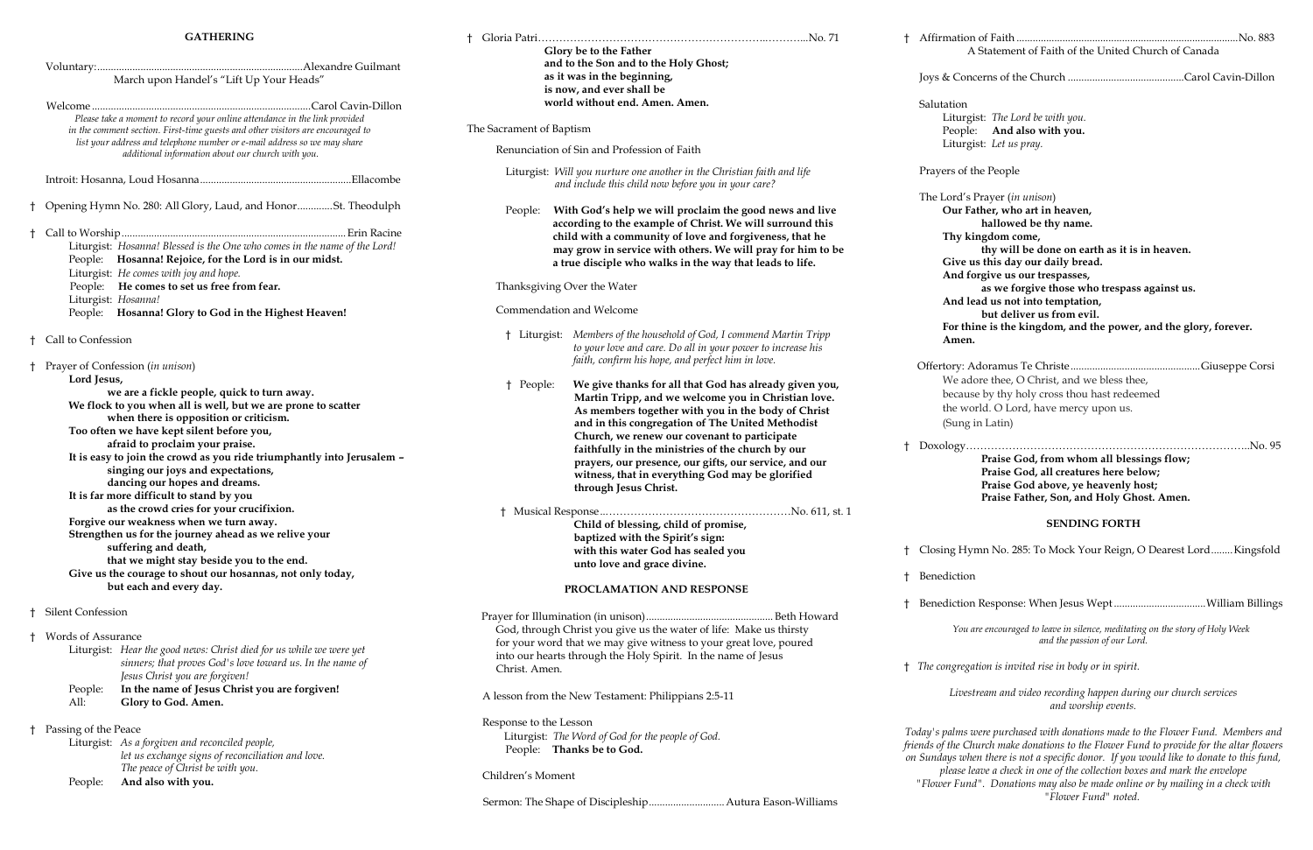### **GATHERING**

|            | <b>GATHERING</b>                                                                                                                                                                                                                                                                                                                                                                                                                                                                                                                                                                                                           |                                                                                                                                                                                                                                                                                                                                                                                                                                                                                                                                                                                                    |
|------------|----------------------------------------------------------------------------------------------------------------------------------------------------------------------------------------------------------------------------------------------------------------------------------------------------------------------------------------------------------------------------------------------------------------------------------------------------------------------------------------------------------------------------------------------------------------------------------------------------------------------------|----------------------------------------------------------------------------------------------------------------------------------------------------------------------------------------------------------------------------------------------------------------------------------------------------------------------------------------------------------------------------------------------------------------------------------------------------------------------------------------------------------------------------------------------------------------------------------------------------|
|            | March upon Handel's "Lift Up Your Heads"                                                                                                                                                                                                                                                                                                                                                                                                                                                                                                                                                                                   | Glory be to the Father<br>and to the Son and to the Holy Ghost;<br>as it was in the beginning,<br>is now, and ever shall be                                                                                                                                                                                                                                                                                                                                                                                                                                                                        |
|            | Please take a moment to record your online attendance in the link provided<br>in the comment section. First-time guests and other visitors are encouraged to<br>list your address and telephone number or e-mail address so we may share                                                                                                                                                                                                                                                                                                                                                                                   | world without end. Amen. Amen.<br>The Sacrament of Baptism                                                                                                                                                                                                                                                                                                                                                                                                                                                                                                                                         |
|            | additional information about our church with you.                                                                                                                                                                                                                                                                                                                                                                                                                                                                                                                                                                          | Renunciation of Sin and Profession of Faith                                                                                                                                                                                                                                                                                                                                                                                                                                                                                                                                                        |
|            |                                                                                                                                                                                                                                                                                                                                                                                                                                                                                                                                                                                                                            | Liturgist: Will you nurture one another in the Christian faith and life<br>and include this child now before you in your care?                                                                                                                                                                                                                                                                                                                                                                                                                                                                     |
|            | Opening Hymn No. 280: All Glory, Laud, and HonorSt. Theodulph<br>Liturgist: Hosanna! Blessed is the One who comes in the name of the Lord!<br>People: Hosanna! Rejoice, for the Lord is in our midst.                                                                                                                                                                                                                                                                                                                                                                                                                      | With God's help we will proclaim the good news and live<br>People:<br>according to the example of Christ. We will surround this<br>child with a community of love and forgiveness, that he<br>may grow in service with others. We will pray for him to be<br>a true disciple who walks in the way that leads to life.                                                                                                                                                                                                                                                                              |
|            | Liturgist: He comes with joy and hope.                                                                                                                                                                                                                                                                                                                                                                                                                                                                                                                                                                                     |                                                                                                                                                                                                                                                                                                                                                                                                                                                                                                                                                                                                    |
|            | People: He comes to set us free from fear.<br>Liturgist: Hosanna!                                                                                                                                                                                                                                                                                                                                                                                                                                                                                                                                                          | Thanksgiving Over the Water                                                                                                                                                                                                                                                                                                                                                                                                                                                                                                                                                                        |
|            | People: Hosanna! Glory to God in the Highest Heaven!                                                                                                                                                                                                                                                                                                                                                                                                                                                                                                                                                                       | Commendation and Welcome                                                                                                                                                                                                                                                                                                                                                                                                                                                                                                                                                                           |
|            | Call to Confession<br>Prayer of Confession (in unison)                                                                                                                                                                                                                                                                                                                                                                                                                                                                                                                                                                     | † Liturgist: Members of the household of God, I commend Martin Tripp<br>to your love and care. Do all in your power to increase his<br>faith, confirm his hope, and perfect him in love.                                                                                                                                                                                                                                                                                                                                                                                                           |
|            | Lord Jesus,<br>we are a fickle people, quick to turn away.<br>We flock to you when all is well, but we are prone to scatter<br>when there is opposition or criticism.<br>Too often we have kept silent before you,<br>afraid to proclaim your praise.<br>It is easy to join the crowd as you ride triumphantly into Jerusalem -<br>singing our joys and expectations,<br>dancing our hopes and dreams.<br>It is far more difficult to stand by you<br>as the crowd cries for your crucifixion.<br>Forgive our weakness when we turn away.<br>Strengthen us for the journey ahead as we relive your<br>suffering and death, | We give thanks for all that God has already given you,<br>† People:<br>Martin Tripp, and we welcome you in Christian love.<br>As members together with you in the body of Christ<br>and in this congregation of The United Methodist<br>Church, we renew our covenant to participate<br>faithfully in the ministries of the church by our<br>prayers, our presence, our gifts, our service, and our<br>witness, that in everything God may be glorified<br>through Jesus Christ.<br>Child of blessing, child of promise,<br>baptized with the Spirit's sign:<br>with this water God has sealed you |
|            | that we might stay beside you to the end.                                                                                                                                                                                                                                                                                                                                                                                                                                                                                                                                                                                  | unto love and grace divine.                                                                                                                                                                                                                                                                                                                                                                                                                                                                                                                                                                        |
|            | Give us the courage to shout our hosannas, not only today,<br>but each and every day.                                                                                                                                                                                                                                                                                                                                                                                                                                                                                                                                      | PROCLAMATION AND RESPONSE                                                                                                                                                                                                                                                                                                                                                                                                                                                                                                                                                                          |
|            | Silent Confession                                                                                                                                                                                                                                                                                                                                                                                                                                                                                                                                                                                                          |                                                                                                                                                                                                                                                                                                                                                                                                                                                                                                                                                                                                    |
|            | Words of Assurance<br>Liturgist: Hear the good news: Christ died for us while we were yet<br>sinners; that proves God's love toward us. In the name of<br>Jesus Christ you are forgiven!                                                                                                                                                                                                                                                                                                                                                                                                                                   | God, through Christ you give us the water of life: Make us thirsty<br>for your word that we may give witness to your great love, poured<br>into our hearts through the Holy Spirit. In the name of Jesus<br>Christ. Amen.                                                                                                                                                                                                                                                                                                                                                                          |
|            | In the name of Jesus Christ you are forgiven!<br>People:<br>Glory to God. Amen.<br>All:                                                                                                                                                                                                                                                                                                                                                                                                                                                                                                                                    | A lesson from the New Testament: Philippians 2:5-11                                                                                                                                                                                                                                                                                                                                                                                                                                                                                                                                                |
| $\ddagger$ | Passing of the Peace<br>Liturgist: As a forgiven and reconciled people,<br>let us exchange signs of reconciliation and love.<br>The peace of Christ be with you.                                                                                                                                                                                                                                                                                                                                                                                                                                                           | Response to the Lesson<br>Liturgist: The Word of God for the people of God.<br>People: Thanks be to God.                                                                                                                                                                                                                                                                                                                                                                                                                                                                                           |
|            | And also with you.<br>People:                                                                                                                                                                                                                                                                                                                                                                                                                                                                                                                                                                                              | Children's Moment                                                                                                                                                                                                                                                                                                                                                                                                                                                                                                                                                                                  |
|            |                                                                                                                                                                                                                                                                                                                                                                                                                                                                                                                                                                                                                            |                                                                                                                                                                                                                                                                                                                                                                                                                                                                                                                                                                                                    |

† Affirmation of Faith ..................................................................................No. 883 A Statement of Faith of the United Church of Canada Joys & Concerns of the Church ...........................................Carol Cavin-Dillon Salutation Liturgist: *The Lord be with you.* People: **And also with you.** Liturgist: *Let us pray.* Prayers of the People The Lord's Prayer (*in unison*) **Our Father, who art in heaven, hallowed be thy name. Thy kingdom come, thy will be done on earth as it is in heaven. Give us this day our daily bread. And forgive us our trespasses, as we forgive those who trespass against us. And lead us not into temptation, but deliver us from evil. For thine is the kingdom, and the power, and the glory, forever.** 

# **Amen.**

 Offertory: Adoramus Te Christe................................................Giuseppe Corsi We adore thee, O Christ, and we bless thee, because by thy holy cross thou hast redeemed the world. O Lord, have mercy upon us. (Sung in Latin)

† Doxology……………………………………………………………………..No. 95 **Praise God, from whom all blessings flow; Praise God, all creatures here below; Praise God above, ye heavenly host; Praise Father, Son, and Holy Ghost. Amen.**

### **SENDING FORTH**

† Closing Hymn No. 285: To Mock Your Reign, O Dearest Lord........Kingsfold

- 
- † Benediction
- 

† Benediction Response: When Jesus Wept..................................William Billings

*You are encouraged to leave in silence, meditating on the story of Holy Week and the passion of our Lord.* 

† *The congregation is invited rise in body or in spirit.*

*Livestream and video recording happen during our church services and worship events.*

*Today's palms were purchased with donations made to the Flower Fund. Members and friends of the Church make donations to the Flower Fund to provide for the altar flowers on Sundays when there is not a specific donor. If you would like to donate to this fund, please leave a check in one of the collection boxes and mark the envelope "Flower Fund". Donations may also be made online or by mailing in a check with "Flower Fund" noted.*